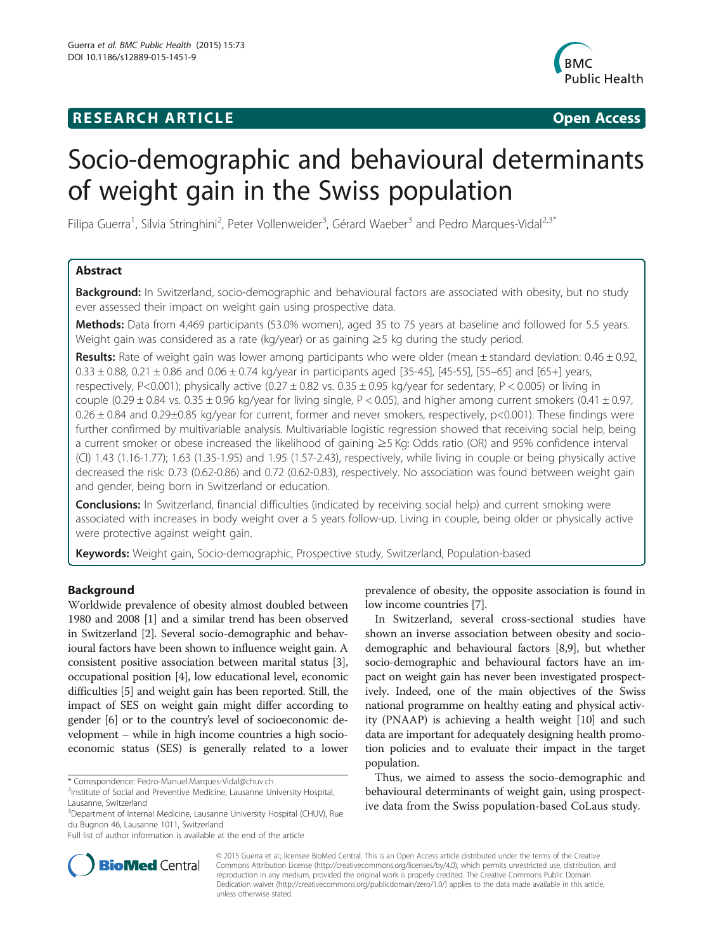## **RESEARCH ARTICLE Example 2018 12:00 THE Open Access**



# Socio-demographic and behavioural determinants of weight gain in the Swiss population

Filipa Guerra<sup>1</sup>, Silvia Stringhini<sup>2</sup>, Peter Vollenweider<sup>3</sup>, Gérard Waeber<sup>3</sup> and Pedro Marques-Vidal<sup>2,3\*</sup>

## Abstract

**Background:** In Switzerland, socio-demographic and behavioural factors are associated with obesity, but no study ever assessed their impact on weight gain using prospective data.

Methods: Data from 4,469 participants (53.0% women), aged 35 to 75 years at baseline and followed for 5.5 years. Weight gain was considered as a rate (kg/year) or as gaining ≥5 kg during the study period.

Results: Rate of weight gain was lower among participants who were older (mean  $\pm$  standard deviation: 0.46  $\pm$  0.92,  $0.33 \pm 0.88$ ,  $0.21 \pm 0.86$  and  $0.06 \pm 0.74$  kg/year in participants aged [35-45], [45-55], [55-65] and [65+] years, respectively, P<0.001); physically active (0.27  $\pm$  0.82 vs. 0.35  $\pm$  0.95 kg/year for sedentary, P < 0.005) or living in couple (0.29  $\pm$  0.84 vs. 0.35  $\pm$  0.96 kg/year for living single, P < 0.05), and higher among current smokers (0.41  $\pm$  0.97, 0.26 ± 0.84 and 0.29±0.85 kg/year for current, former and never smokers, respectively, p<0.001). These findings were further confirmed by multivariable analysis. Multivariable logistic regression showed that receiving social help, being a current smoker or obese increased the likelihood of gaining ≥5 Kg: Odds ratio (OR) and 95% confidence interval (CI) 1.43 (1.16-1.77); 1.63 (1.35-1.95) and 1.95 (1.57-2.43), respectively, while living in couple or being physically active decreased the risk: 0.73 (0.62-0.86) and 0.72 (0.62-0.83), respectively. No association was found between weight gain and gender, being born in Switzerland or education.

Conclusions: In Switzerland, financial difficulties (indicated by receiving social help) and current smoking were associated with increases in body weight over a 5 years follow-up. Living in couple, being older or physically active were protective against weight gain.

Keywords: Weight gain, Socio-demographic, Prospective study, Switzerland, Population-based

## Background

Worldwide prevalence of obesity almost doubled between 1980 and 2008 [\[1](#page-6-0)] and a similar trend has been observed in Switzerland [\[2\]](#page-6-0). Several socio-demographic and behavioural factors have been shown to influence weight gain. A consistent positive association between marital status [[3](#page-6-0)], occupational position [\[4\]](#page-6-0), low educational level, economic difficulties [[5](#page-6-0)] and weight gain has been reported. Still, the impact of SES on weight gain might differ according to gender [[6](#page-6-0)] or to the country's level of socioeconomic development – while in high income countries a high socioeconomic status (SES) is generally related to a lower

prevalence of obesity, the opposite association is found in low income countries [\[7](#page-6-0)].

In Switzerland, several cross-sectional studies have shown an inverse association between obesity and sociodemographic and behavioural factors [\[8,9](#page-6-0)], but whether socio-demographic and behavioural factors have an impact on weight gain has never been investigated prospectively. Indeed, one of the main objectives of the Swiss national programme on healthy eating and physical activity (PNAAP) is achieving a health weight [\[10\]](#page-6-0) and such data are important for adequately designing health promotion policies and to evaluate their impact in the target population.

Thus, we aimed to assess the socio-demographic and behavioural determinants of weight gain, using prospective data from the Swiss population-based CoLaus study.



© 2015 Guerra et al.; licensee BioMed Central. This is an Open Access article distributed under the terms of the Creative Commons Attribution License [\(http://creativecommons.org/licenses/by/4.0\)](http://creativecommons.org/licenses/by/4.0), which permits unrestricted use, distribution, and reproduction in any medium, provided the original work is properly credited. The Creative Commons Public Domain Dedication waiver [\(http://creativecommons.org/publicdomain/zero/1.0/](http://creativecommons.org/publicdomain/zero/1.0/)) applies to the data made available in this article, unless otherwise stated.

<sup>\*</sup> Correspondence: [Pedro-Manuel.Marques-Vidal@chuv.ch](mailto:Pedro-Manuel.Marques-Vidal@chuv.ch) <sup>2</sup>

<sup>&</sup>lt;sup>2</sup>Institute of Social and Preventive Medicine, Lausanne University Hospital, Lausanne, Switzerland

<sup>&</sup>lt;sup>3</sup>Department of Internal Medicine, Lausanne University Hospital (CHUV), Rue du Bugnon 46, Lausanne 1011, Switzerland

Full list of author information is available at the end of the article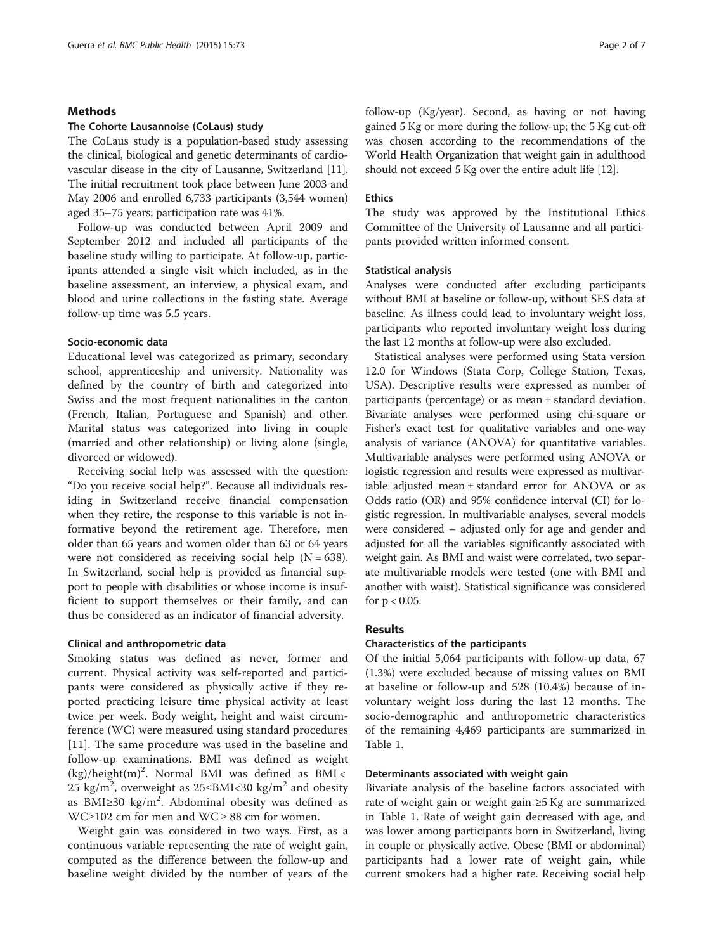## **Methods**

## The Cohorte Lausannoise (CoLaus) study

The CoLaus study is a population-based study assessing the clinical, biological and genetic determinants of cardiovascular disease in the city of Lausanne, Switzerland [[11](#page-6-0)]. The initial recruitment took place between June 2003 and May 2006 and enrolled 6,733 participants (3,544 women) aged 35–75 years; participation rate was 41%.

Follow-up was conducted between April 2009 and September 2012 and included all participants of the baseline study willing to participate. At follow-up, participants attended a single visit which included, as in the baseline assessment, an interview, a physical exam, and blood and urine collections in the fasting state. Average follow-up time was 5.5 years.

## Socio-economic data

Educational level was categorized as primary, secondary school, apprenticeship and university. Nationality was defined by the country of birth and categorized into Swiss and the most frequent nationalities in the canton (French, Italian, Portuguese and Spanish) and other. Marital status was categorized into living in couple (married and other relationship) or living alone (single, divorced or widowed).

Receiving social help was assessed with the question: "Do you receive social help?". Because all individuals residing in Switzerland receive financial compensation when they retire, the response to this variable is not informative beyond the retirement age. Therefore, men older than 65 years and women older than 63 or 64 years were not considered as receiving social help  $(N = 638)$ . In Switzerland, social help is provided as financial support to people with disabilities or whose income is insufficient to support themselves or their family, and can thus be considered as an indicator of financial adversity.

## Clinical and anthropometric data

Smoking status was defined as never, former and current. Physical activity was self-reported and participants were considered as physically active if they reported practicing leisure time physical activity at least twice per week. Body weight, height and waist circumference (WC) were measured using standard procedures [[11\]](#page-6-0). The same procedure was used in the baseline and follow-up examinations. BMI was defined as weight  $(kg)/height(m)^2$ . Normal BMI was defined as BMI < 25 kg/m², overweight as 25≤BMI<30 kg/m $^2$  and obesity as BMI≥30 kg/m<sup>2</sup>. Abdominal obesity was defined as WC≥102 cm for men and WC ≥ 88 cm for women.

Weight gain was considered in two ways. First, as a continuous variable representing the rate of weight gain, computed as the difference between the follow-up and baseline weight divided by the number of years of the follow-up (Kg/year). Second, as having or not having gained 5 Kg or more during the follow-up; the 5 Kg cut-off was chosen according to the recommendations of the World Health Organization that weight gain in adulthood should not exceed 5 Kg over the entire adult life [\[12](#page-6-0)].

#### Ethics

The study was approved by the Institutional Ethics Committee of the University of Lausanne and all participants provided written informed consent.

#### Statistical analysis

Analyses were conducted after excluding participants without BMI at baseline or follow-up, without SES data at baseline. As illness could lead to involuntary weight loss, participants who reported involuntary weight loss during the last 12 months at follow-up were also excluded.

Statistical analyses were performed using Stata version 12.0 for Windows (Stata Corp, College Station, Texas, USA). Descriptive results were expressed as number of participants (percentage) or as mean ± standard deviation. Bivariate analyses were performed using chi-square or Fisher's exact test for qualitative variables and one-way analysis of variance (ANOVA) for quantitative variables. Multivariable analyses were performed using ANOVA or logistic regression and results were expressed as multivariable adjusted mean ± standard error for ANOVA or as Odds ratio (OR) and 95% confidence interval (CI) for logistic regression. In multivariable analyses, several models were considered – adjusted only for age and gender and adjusted for all the variables significantly associated with weight gain. As BMI and waist were correlated, two separate multivariable models were tested (one with BMI and another with waist). Statistical significance was considered for  $p < 0.05$ .

#### Results

#### Characteristics of the participants

Of the initial 5,064 participants with follow-up data, 67 (1.3%) were excluded because of missing values on BMI at baseline or follow-up and 528 (10.4%) because of involuntary weight loss during the last 12 months. The socio-demographic and anthropometric characteristics of the remaining 4,469 participants are summarized in Table [1.](#page-2-0)

## Determinants associated with weight gain

Bivariate analysis of the baseline factors associated with rate of weight gain or weight gain ≥5 Kg are summarized in Table [1](#page-2-0). Rate of weight gain decreased with age, and was lower among participants born in Switzerland, living in couple or physically active. Obese (BMI or abdominal) participants had a lower rate of weight gain, while current smokers had a higher rate. Receiving social help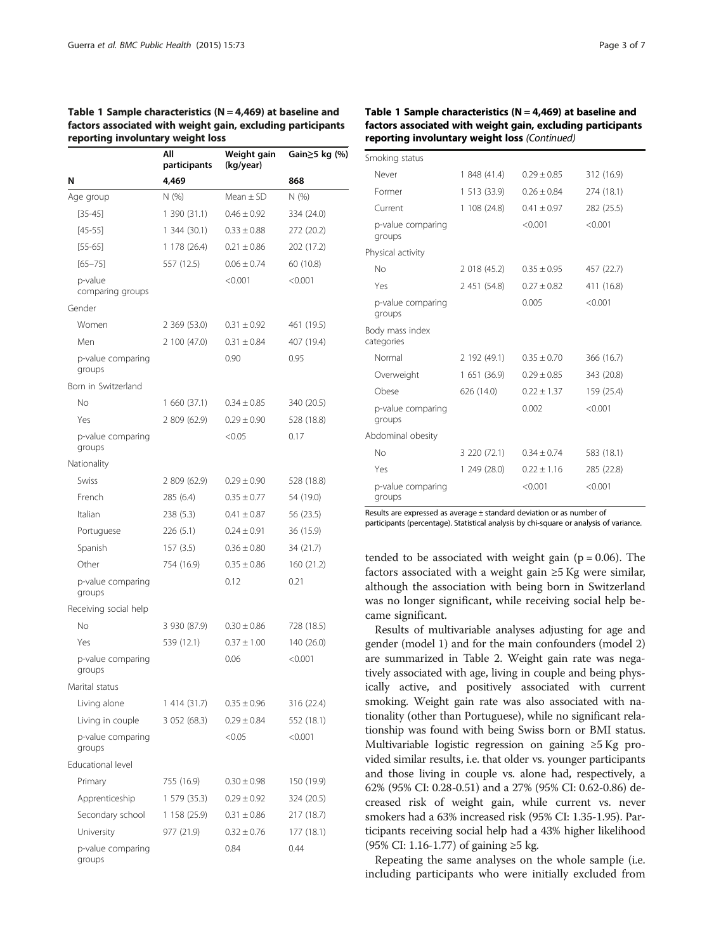## <span id="page-2-0"></span>Table 1 Sample characteristics ( $N = 4,469$ ) at baseline and factors associated with weight gain, excluding participants reporting involuntary weight loss

|                             | All<br>participants | Weight gain<br>(kg/year) | Gain≥5 kg (%) |
|-----------------------------|---------------------|--------------------------|---------------|
| N                           | 4,469               |                          | 868           |
| Age group                   | N (%)               | Mean $\pm$ SD            | N (%)         |
| $[35 - 45]$                 | 1 390 (31.1)        | $0.46 \pm 0.92$          | 334 (24.0)    |
| $[45 - 55]$                 | 1 344 (30.1)        | $0.33 \pm 0.88$          | 272 (20.2)    |
| [55-65]                     | 1 178 (26.4)        | $0.21 \pm 0.86$          | 202 (17.2)    |
| $[65 - 75]$                 | 557 (12.5)          | $0.06 \pm 0.74$          | 60 (10.8)     |
| p-value<br>comparing groups |                     | < 0.001                  | < 0.001       |
| Gender                      |                     |                          |               |
| Women                       | 2 369 (53.0)        | $0.31 \pm 0.92$          | 461 (19.5)    |
| Men                         | 2 100 (47.0)        | $0.31 \pm 0.84$          | 407 (19.4)    |
| p-value comparing<br>groups |                     | 0.90                     | 0.95          |
| Born in Switzerland         |                     |                          |               |
| Νo                          | 1 660 (37.1)        | $0.34 \pm 0.85$          | 340 (20.5)    |
| Yes                         | 2 809 (62.9)        | $0.29 \pm 0.90$          | 528 (18.8)    |
| p-value comparing<br>groups |                     | < 0.05                   | 0.17          |
| Nationality                 |                     |                          |               |
| Swiss                       | 2 809 (62.9)        | $0.29 \pm 0.90$          | 528 (18.8)    |
| French                      | 285 (6.4)           | $0.35 \pm 0.77$          | 54 (19.0)     |
| Italian                     | 238 (5.3)           | $0.41 \pm 0.87$          | 56 (23.5)     |
| Portuguese                  | 226 (5.1)           | $0.24 \pm 0.91$          | 36 (15.9)     |
| Spanish                     | 157 (3.5)           | $0.36 \pm 0.80$          | 34 (21.7)     |
| Other                       | 754 (16.9)          | $0.35 \pm 0.86$          | 160 (21.2)    |
| p-value comparing<br>groups |                     | 0.12                     | 0.21          |
| Receiving social help       |                     |                          |               |
| No                          | 3 930 (87.9)        | $0.30 \pm 0.86$          | 728 (18.5)    |
| Yes                         | 539 (12.1)          | $0.37 \pm 1.00$          | 140 (26.0)    |
| p-value comparing<br>groups |                     | 0.06                     | < 0.001       |
| Marital status              |                     |                          |               |
| Living alone                | 1 414 (31.7)        | $0.35 \pm 0.96$          | 316 (22.4)    |
| Living in couple            | 3 052 (68.3)        | $0.29 \pm 0.84$          | 552 (18.1)    |
| p-value comparing<br>groups |                     | < 0.05                   | < 0.001       |
| Educational level           |                     |                          |               |
| Primary                     | 755 (16.9)          | $0.30 \pm 0.98$          | 150 (19.9)    |
| Apprenticeship              | 1 579 (35.3)        | $0.29 \pm 0.92$          | 324 (20.5)    |
| Secondary school            | 1 158 (25.9)        | $0.31 \pm 0.86$          | 217 (18.7)    |
| University                  | 977 (21.9)          | $0.32 \pm 0.76$          | 177 (18.1)    |
| p-value comparing<br>groups |                     | 0.84                     | 0.44          |

## Table 1 Sample characteristics ( $N = 4,469$ ) at baseline and factors associated with weight gain, excluding participants reporting involuntary weight loss (Continued)

| Smoking status                |              |                 |            |
|-------------------------------|--------------|-----------------|------------|
| Never                         | 1 848 (41.4) | $0.29 \pm 0.85$ | 312 (16.9) |
| Former                        | 1513(33.9)   | $0.26 \pm 0.84$ | 274 (18.1) |
| Current                       | 1108(24.8)   | $0.41 \pm 0.97$ | 282 (25.5) |
| p-value comparing<br>groups   |              | < 0.001         | < 0.001    |
| Physical activity             |              |                 |            |
| No                            | 2 018 (45.2) | $0.35 \pm 0.95$ | 457 (22.7) |
| Yes                           | 2 451 (54.8) | $0.27 \pm 0.82$ | 411 (16.8) |
| p-value comparing<br>groups   |              | 0.005           | < 0.001    |
| Body mass index<br>categories |              |                 |            |
| Normal                        | 2 192 (49.1) | $0.35 \pm 0.70$ | 366 (16.7) |
| Overweight                    | 1 651 (36.9) | $0.29 \pm 0.85$ | 343 (20.8) |
| Obese                         | 626 (14.0)   | $0.22 \pm 1.37$ | 159 (25.4) |
| p-value comparing<br>groups   |              | 0.002           | < 0.001    |
| Abdominal obesity             |              |                 |            |
| No                            | 3 220 (72.1) | $0.34 \pm 0.74$ | 583 (18.1) |
| Yes                           | 1249(28.0)   | $0.22 \pm 1.16$ | 285 (22.8) |
| p-value comparing<br>groups   |              | < 0.001         | < 0.001    |

Results are expressed as average ± standard deviation or as number of participants (percentage). Statistical analysis by chi-square or analysis of variance.

tended to be associated with weight gain ( $p = 0.06$ ). The factors associated with a weight gain  $\geq$ 5 Kg were similar, although the association with being born in Switzerland was no longer significant, while receiving social help became significant.

Results of multivariable analyses adjusting for age and gender (model 1) and for the main confounders (model 2) are summarized in Table [2](#page-3-0). Weight gain rate was negatively associated with age, living in couple and being physically active, and positively associated with current smoking. Weight gain rate was also associated with nationality (other than Portuguese), while no significant relationship was found with being Swiss born or BMI status. Multivariable logistic regression on gaining ≥5 Kg provided similar results, i.e. that older vs. younger participants and those living in couple vs. alone had, respectively, a 62% (95% CI: 0.28-0.51) and a 27% (95% CI: 0.62-0.86) decreased risk of weight gain, while current vs. never smokers had a 63% increased risk (95% CI: 1.35-1.95). Participants receiving social help had a 43% higher likelihood (95% CI: 1.16-1.77) of gaining ≥5 kg.

Repeating the same analyses on the whole sample (i.e. including participants who were initially excluded from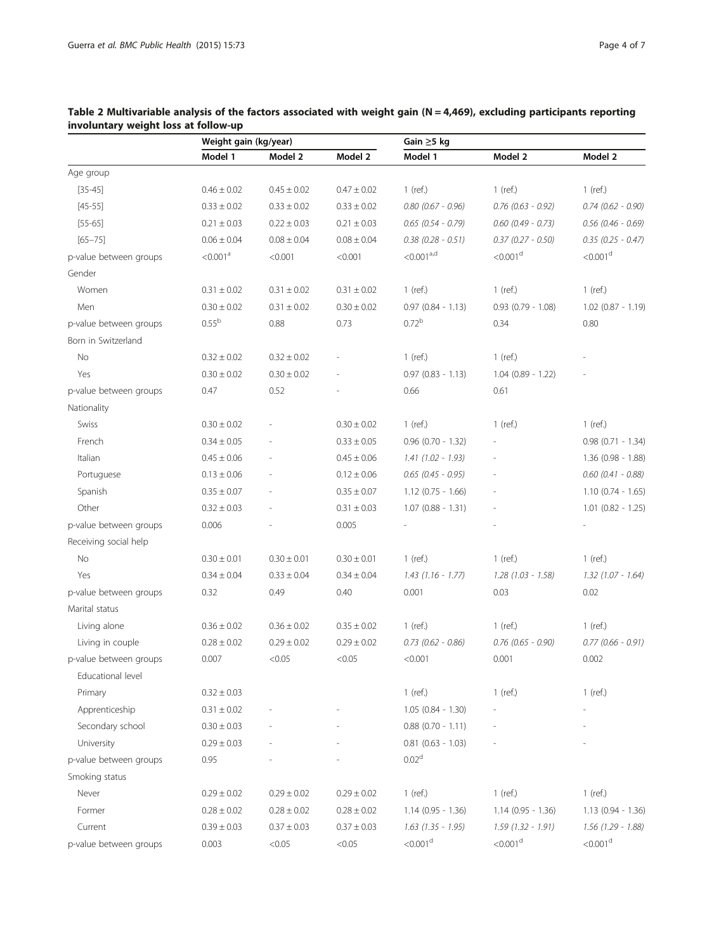|                        | Weight gain (kg/year) |                 |                 | Gain $\geq$ 5 kg       |                        |                        |
|------------------------|-----------------------|-----------------|-----------------|------------------------|------------------------|------------------------|
|                        | Model 1               | Model 2         | Model 2         | Model 1                | Model 2                | Model 2                |
| Age group              |                       |                 |                 |                        |                        |                        |
| $[35 - 45]$            | $0.46 \pm 0.02$       | $0.45 \pm 0.02$ | $0.47 \pm 0.02$ | $1$ (ref.)             | $1$ (ref.)             | $1$ (ref.)             |
| $[45 - 55]$            | $0.33 \pm 0.02$       | $0.33 \pm 0.02$ | $0.33 \pm 0.02$ | $0.80$ (0.67 - 0.96)   | $0.76$ (0.63 - 0.92)   | $0.74$ $(0.62 - 0.90)$ |
| $[55-65]$              | $0.21 \pm 0.03$       | $0.22 \pm 0.03$ | $0.21 \pm 0.03$ | $0.65$ (0.54 - 0.79)   | $0.60$ (0.49 - 0.73)   | $0.56$ (0.46 - 0.69)   |
| $[65 - 75]$            | $0.06 \pm 0.04$       | $0.08 \pm 0.04$ | $0.08 \pm 0.04$ | $0.38$ (0.28 - 0.51)   | $0.37$ (0.27 - 0.50)   | $0.35$ (0.25 - 0.47)   |
| p-value between groups | < 0.001 <sup>a</sup>  | < 0.001         | < 0.001         | < 0.001 <sup>a,d</sup> | $<$ 0.001 $d$          | $<0.001d$              |
| Gender                 |                       |                 |                 |                        |                        |                        |
| Women                  | $0.31 \pm 0.02$       | $0.31 \pm 0.02$ | $0.31 \pm 0.02$ | $1$ (ref.)             | $1$ (ref.)             | $1$ (ref.)             |
| Men                    | $0.30 \pm 0.02$       | $0.31 \pm 0.02$ | $0.30 \pm 0.02$ | $0.97$ $(0.84 - 1.13)$ | $0.93$ $(0.79 - 1.08)$ | $1.02$ (0.87 - 1.19)   |
| p-value between groups | 0.55 <sup>b</sup>     | 0.88            | 0.73            | 0.72 <sup>b</sup>      | 0.34                   | 0.80                   |
| Born in Switzerland    |                       |                 |                 |                        |                        |                        |
| No                     | $0.32 \pm 0.02$       | $0.32 \pm 0.02$ |                 | $1$ (ref.)             | $1$ (ref.)             |                        |
| Yes                    | $0.30 \pm 0.02$       | $0.30 \pm 0.02$ |                 | $0.97$ $(0.83 - 1.13)$ | $1.04$ (0.89 - 1.22)   |                        |
| p-value between groups | 0.47                  | 0.52            |                 | 0.66                   | 0.61                   |                        |
| Nationality            |                       |                 |                 |                        |                        |                        |
| Swiss                  | $0.30 \pm 0.02$       | L,              | $0.30 \pm 0.02$ | 1 (ref.)               | $1$ (ref.)             | $1$ (ref.)             |
| French                 | $0.34 \pm 0.05$       |                 | $0.33 \pm 0.05$ | $0.96$ (0.70 - 1.32)   |                        | $0.98$ $(0.71 - 1.34)$ |
| Italian                | $0.45 \pm 0.06$       |                 | $0.45 \pm 0.06$ | $1.41(1.02 - 1.93)$    |                        | $1.36(0.98 - 1.88)$    |
| Portuguese             | $0.13 \pm 0.06$       | L,              | $0.12 \pm 0.06$ | $0.65$ (0.45 - 0.95)   |                        | $0.60$ (0.41 - 0.88)   |
| Spanish                | $0.35 \pm 0.07$       | L,              | $0.35 \pm 0.07$ | $1.12$ (0.75 - 1.66)   |                        | $1.10$ (0.74 - 1.65)   |
| Other                  | $0.32 \pm 0.03$       |                 | $0.31 \pm 0.03$ | $1.07$ (0.88 - 1.31)   |                        | $1.01$ $(0.82 - 1.25)$ |
| p-value between groups | 0.006                 |                 | 0.005           |                        |                        |                        |
| Receiving social help  |                       |                 |                 |                        |                        |                        |
| No                     | $0.30 \pm 0.01$       | $0.30 \pm 0.01$ | $0.30 \pm 0.01$ | $1$ (ref.)             | $1$ (ref.)             | $1$ (ref.)             |
| Yes                    | $0.34 \pm 0.04$       | $0.33 \pm 0.04$ | $0.34 \pm 0.04$ | $1.43$ (1.16 - 1.77)   | $1.28(1.03 - 1.58)$    | $1.32$ (1.07 - 1.64)   |
| p-value between groups | 0.32                  | 0.49            | 0.40            | 0.001                  | 0.03                   | 0.02                   |
| Marital status         |                       |                 |                 |                        |                        |                        |
| Living alone           | $0.36 \pm 0.02$       | $0.36 \pm 0.02$ | $0.35 \pm 0.02$ | $1$ (ref.)             | $1$ (ref.)             | $1$ (ref.)             |
| Living in couple       | $0.28 \pm 0.02$       | $0.29 \pm 0.02$ | $0.29 \pm 0.02$ | $0.73$ (0.62 - 0.86)   | $0.76$ (0.65 - 0.90)   | $0.77$ (0.66 - 0.91)   |
| p-value between groups | 0.007                 | < 0.05          | < 0.05          | < 0.001                | 0.001                  | 0.002                  |
| Educational level      |                       |                 |                 |                        |                        |                        |
| Primary                | $0.32 \pm 0.03$       |                 |                 | $1$ (ref.)             | $1$ (ref.)             | $1$ (ref.)             |
| Apprenticeship         | $0.31 \pm 0.02$       |                 |                 | $1.05(0.84 - 1.30)$    |                        |                        |
| Secondary school       | $0.30 \pm 0.03$       |                 |                 | $0.88$ (0.70 - 1.11)   |                        |                        |
| University             | $0.29 \pm 0.03$       |                 |                 | $0.81$ $(0.63 - 1.03)$ |                        |                        |
| p-value between groups | 0.95                  |                 |                 | $0.02^{\rm d}$         |                        |                        |
| Smoking status         |                       |                 |                 |                        |                        |                        |
| Never                  | $0.29 \pm 0.02$       | $0.29 \pm 0.02$ | $0.29 \pm 0.02$ | $1$ (ref.)             | $1$ (ref.)             | $1$ (ref.)             |
| Former                 | $0.28 \pm 0.02$       | $0.28 \pm 0.02$ | $0.28 \pm 0.02$ | $1.14$ (0.95 - 1.36)   | $1.14$ (0.95 - 1.36)   | $1.13(0.94 - 1.36)$    |
| Current                | $0.39 \pm 0.03$       | $0.37 \pm 0.03$ | $0.37 \pm 0.03$ | $1.63$ (1.35 - 1.95)   | $1.59(1.32 - 1.91)$    | $1.56$ (1.29 - 1.88)   |
| p-value between groups | 0.003                 | < 0.05          | < 0.05          | < 0.001 <sup>d</sup>   | $<$ 0.001 $d$          | < 0.001 <sup>d</sup>   |

## <span id="page-3-0"></span>Table 2 Multivariable analysis of the factors associated with weight gain (N = 4,469), excluding participants reporting involuntary weight loss at follow-up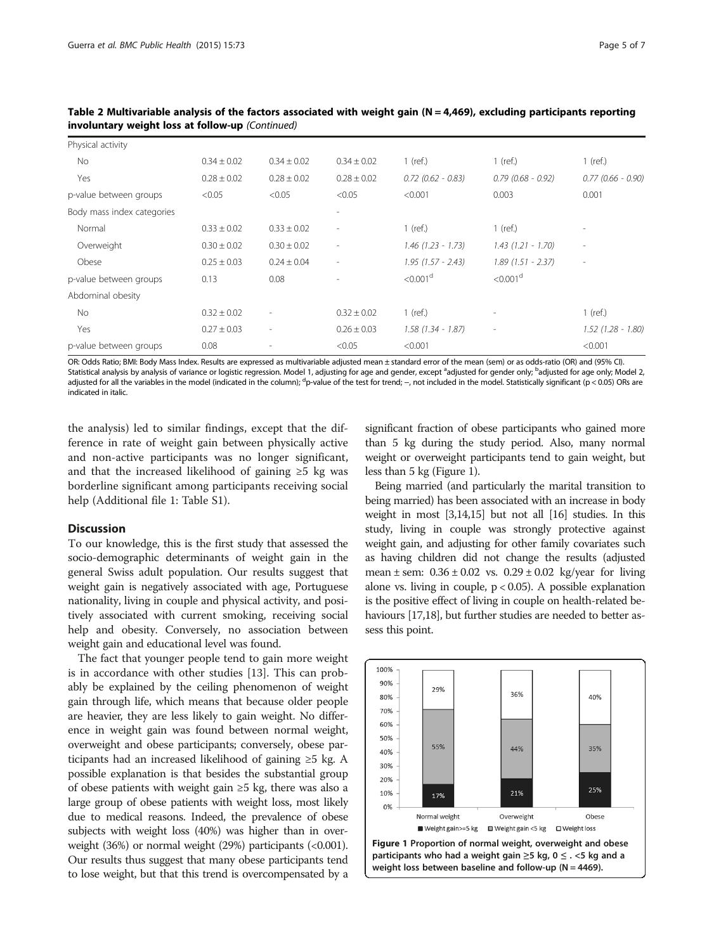| Physical activity          |                 |                          |                 |                      |                          |                      |
|----------------------------|-----------------|--------------------------|-----------------|----------------------|--------------------------|----------------------|
| <b>No</b>                  | $0.34 \pm 0.02$ | $0.34 \pm 0.02$          | $0.34 \pm 0.02$ | $1$ (ref.)           | $1$ (ref.)               | $1$ (ref.)           |
| Yes                        | $0.28 \pm 0.02$ | $0.28 \pm 0.02$          | $0.28 \pm 0.02$ | $0.72$ (0.62 - 0.83) | $0.79$ (0.68 - 0.92)     | $0.77(0.66 - 0.90)$  |
| p-value between groups     | < 0.05          | < 0.05                   | < 0.05          | < 0.001              | 0.003                    | 0.001                |
| Body mass index categories |                 |                          |                 |                      |                          |                      |
| Normal                     | $0.33 \pm 0.02$ | $0.33 \pm 0.02$          | ٠               | $1$ (ref.)           | $1$ (ref.)               | ۰                    |
| Overweight                 | $0.30 \pm 0.02$ | $0.30 \pm 0.02$          | ٠               | $1.46$ (1.23 - 1.73) | $1.43(1.21 - 1.70)$      | ٠                    |
| Obese                      | $0.25 \pm 0.03$ | $0.24 \pm 0.04$          | ٠               | $1.95(1.57 - 2.43)$  | $1.89(1.51 - 2.37)$      | ٠                    |
| p-value between groups     | 0.13            | 0.08                     |                 | < 0.001 <sup>d</sup> | < 0.001 <sup>d</sup>     |                      |
| Abdominal obesity          |                 |                          |                 |                      |                          |                      |
| No                         | $0.32 \pm 0.02$ | $\overline{\phantom{a}}$ | $0.32 \pm 0.02$ | $1$ (ref.)           | $\overline{\phantom{a}}$ | $1$ (ref.)           |
| Yes                        | $0.27 \pm 0.03$ | $\overline{\phantom{a}}$ | $0.26 \pm 0.03$ | $1.58(1.34 - 1.87)$  | $\overline{\phantom{a}}$ | $1.52$ (1.28 - 1.80) |
| p-value between groups     | 0.08            | $\overline{a}$           | < 0.05          | < 0.001              |                          | < 0.001              |

Table 2 Multivariable analysis of the factors associated with weight gain (N = 4,469), excluding participants reporting involuntary weight loss at follow-up (Continued)

OR: Odds Ratio; BMI: Body Mass Index. Results are expressed as multivariable adjusted mean ± standard error of the mean (sem) or as odds-ratio (OR) and (95% CI). Statistical analysis by analysis of variance or logistic regression. Model 1, adjusting for age and gender, except <sup>a</sup>adjusted for gender only; <sup>b</sup>adjusted for age only; Model 2, adjusted for all the variables in the model (indicated in the column); <sup>d</sup>p-value of the test for trend; −, not included in the model. Statistically significant (p < 0.05) ORs are indicated in italic.

the analysis) led to similar findings, except that the difference in rate of weight gain between physically active and non-active participants was no longer significant, and that the increased likelihood of gaining  $\geq 5$  kg was borderline significant among participants receiving social help (Additional file [1:](#page-5-0) Table S1).

#### **Discussion**

To our knowledge, this is the first study that assessed the socio-demographic determinants of weight gain in the general Swiss adult population. Our results suggest that weight gain is negatively associated with age, Portuguese nationality, living in couple and physical activity, and positively associated with current smoking, receiving social help and obesity. Conversely, no association between weight gain and educational level was found.

The fact that younger people tend to gain more weight is in accordance with other studies [[13](#page-6-0)]. This can probably be explained by the ceiling phenomenon of weight gain through life, which means that because older people are heavier, they are less likely to gain weight. No difference in weight gain was found between normal weight, overweight and obese participants; conversely, obese participants had an increased likelihood of gaining ≥5 kg. A possible explanation is that besides the substantial group of obese patients with weight gain ≥5 kg, there was also a large group of obese patients with weight loss, most likely due to medical reasons. Indeed, the prevalence of obese subjects with weight loss (40%) was higher than in overweight (36%) or normal weight (29%) participants (<0.001). Our results thus suggest that many obese participants tend to lose weight, but that this trend is overcompensated by a significant fraction of obese participants who gained more than 5 kg during the study period. Also, many normal weight or overweight participants tend to gain weight, but less than 5 kg (Figure 1).

Being married (and particularly the marital transition to being married) has been associated with an increase in body weight in most [\[3,14,15\]](#page-6-0) but not all [\[16\]](#page-6-0) studies. In this study, living in couple was strongly protective against weight gain, and adjusting for other family covariates such as having children did not change the results (adjusted mean  $\pm$  sem:  $0.36 \pm 0.02$  vs.  $0.29 \pm 0.02$  kg/year for living alone vs. living in couple,  $p < 0.05$ ). A possible explanation is the positive effect of living in couple on health-related be-haviours [\[17,18](#page-6-0)], but further studies are needed to better assess this point.

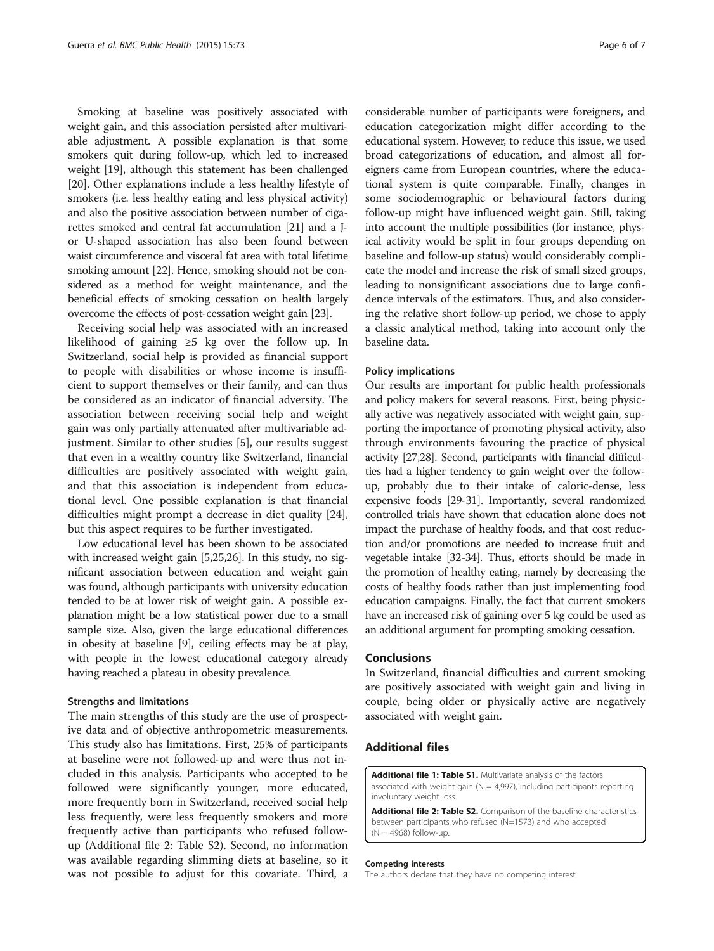<span id="page-5-0"></span>Smoking at baseline was positively associated with weight gain, and this association persisted after multivariable adjustment. A possible explanation is that some smokers quit during follow-up, which led to increased weight [\[19\]](#page-6-0), although this statement has been challenged [[20](#page-6-0)]. Other explanations include a less healthy lifestyle of smokers (i.e. less healthy eating and less physical activity) and also the positive association between number of cigarettes smoked and central fat accumulation [\[21\]](#page-6-0) and a Jor U-shaped association has also been found between waist circumference and visceral fat area with total lifetime smoking amount [\[22\]](#page-6-0). Hence, smoking should not be considered as a method for weight maintenance, and the beneficial effects of smoking cessation on health largely overcome the effects of post-cessation weight gain [\[23\]](#page-6-0).

Receiving social help was associated with an increased likelihood of gaining ≥5 kg over the follow up. In Switzerland, social help is provided as financial support to people with disabilities or whose income is insufficient to support themselves or their family, and can thus be considered as an indicator of financial adversity. The association between receiving social help and weight gain was only partially attenuated after multivariable adjustment. Similar to other studies [\[5](#page-6-0)], our results suggest that even in a wealthy country like Switzerland, financial difficulties are positively associated with weight gain, and that this association is independent from educational level. One possible explanation is that financial difficulties might prompt a decrease in diet quality [\[24](#page-6-0)], but this aspect requires to be further investigated.

Low educational level has been shown to be associated with increased weight gain [\[5,25,26\]](#page-6-0). In this study, no significant association between education and weight gain was found, although participants with university education tended to be at lower risk of weight gain. A possible explanation might be a low statistical power due to a small sample size. Also, given the large educational differences in obesity at baseline [[9\]](#page-6-0), ceiling effects may be at play, with people in the lowest educational category already having reached a plateau in obesity prevalence.

#### Strengths and limitations

The main strengths of this study are the use of prospective data and of objective anthropometric measurements. This study also has limitations. First, 25% of participants at baseline were not followed-up and were thus not included in this analysis. Participants who accepted to be followed were significantly younger, more educated, more frequently born in Switzerland, received social help less frequently, were less frequently smokers and more frequently active than participants who refused followup (Additional file 2: Table S2). Second, no information was available regarding slimming diets at baseline, so it was not possible to adjust for this covariate. Third, a

considerable number of participants were foreigners, and education categorization might differ according to the educational system. However, to reduce this issue, we used broad categorizations of education, and almost all foreigners came from European countries, where the educational system is quite comparable. Finally, changes in some sociodemographic or behavioural factors during follow-up might have influenced weight gain. Still, taking into account the multiple possibilities (for instance, physical activity would be split in four groups depending on baseline and follow-up status) would considerably complicate the model and increase the risk of small sized groups, leading to nonsignificant associations due to large confidence intervals of the estimators. Thus, and also considering the relative short follow-up period, we chose to apply a classic analytical method, taking into account only the baseline data.

## Policy implications

Our results are important for public health professionals and policy makers for several reasons. First, being physically active was negatively associated with weight gain, supporting the importance of promoting physical activity, also through environments favouring the practice of physical activity [\[27,28\]](#page-6-0). Second, participants with financial difficulties had a higher tendency to gain weight over the followup, probably due to their intake of caloric-dense, less expensive foods [\[29](#page-6-0)-[31](#page-6-0)]. Importantly, several randomized controlled trials have shown that education alone does not impact the purchase of healthy foods, and that cost reduction and/or promotions are needed to increase fruit and vegetable intake [\[32-34\]](#page-6-0). Thus, efforts should be made in the promotion of healthy eating, namely by decreasing the costs of healthy foods rather than just implementing food education campaigns. Finally, the fact that current smokers have an increased risk of gaining over 5 kg could be used as an additional argument for prompting smoking cessation.

#### Conclusions

In Switzerland, financial difficulties and current smoking are positively associated with weight gain and living in couple, being older or physically active are negatively associated with weight gain.

### Additional files

[Additional file 1: Table S1.](http://www.biomedcentral.com/content/supplementary/s12889-015-1451-9-s1.doc) Multivariate analysis of the factors associated with weight gain ( $N = 4,997$ ), including participants reporting involuntary weight loss.

[Additional file 2: Table S2.](http://www.biomedcentral.com/content/supplementary/s12889-015-1451-9-s2.doc) Comparison of the baseline characteristics between participants who refused (N=1573) and who accepted  $(N = 4968)$  follow-up.

#### Competing interests

The authors declare that they have no competing interest.